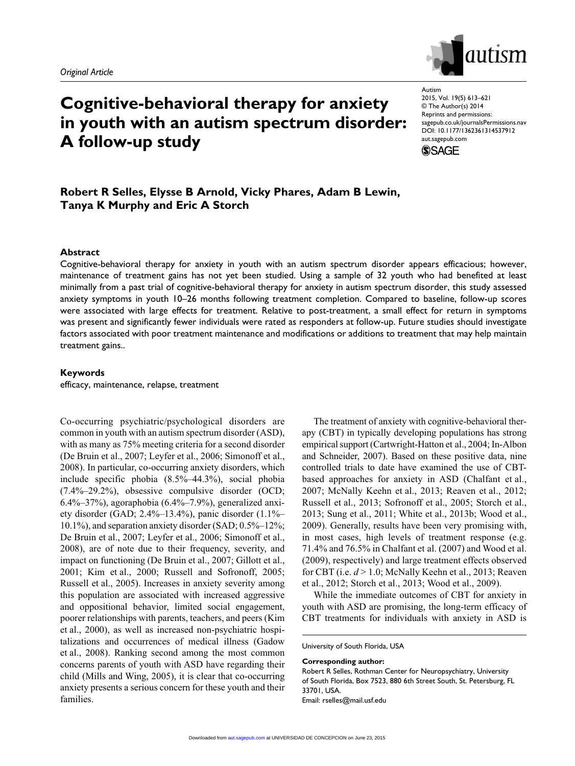

# **Cognitive-behavioral therapy for anxiety in youth with an autism spectrum disorder: A follow-up study**

Autism 2015, Vol. 19(5) 613–621 © The Author(s) 2014 Reprints and permissions: sagepub.co.uk/journalsPermissions.nav DOI: 10.1177/1362361314537912 aut.sagepub.com



# **Robert R Selles, Elysse B Arnold, Vicky Phares, Adam B Lewin, Tanya K Murphy and Eric A Storch**

## **Abstract**

Cognitive-behavioral therapy for anxiety in youth with an autism spectrum disorder appears efficacious; however, maintenance of treatment gains has not yet been studied. Using a sample of 32 youth who had benefited at least minimally from a past trial of cognitive-behavioral therapy for anxiety in autism spectrum disorder, this study assessed anxiety symptoms in youth 10–26 months following treatment completion. Compared to baseline, follow-up scores were associated with large effects for treatment. Relative to post-treatment, a small effect for return in symptoms was present and significantly fewer individuals were rated as responders at follow-up. Future studies should investigate factors associated with poor treatment maintenance and modifications or additions to treatment that may help maintain treatment gains..

#### **Keywords**

efficacy, maintenance, relapse, treatment

Co-occurring psychiatric/psychological disorders are common in youth with an autism spectrum disorder (ASD), with as many as 75% meeting criteria for a second disorder (De Bruin et al., 2007; Leyfer et al., 2006; Simonoff et al., 2008). In particular, co-occurring anxiety disorders, which include specific phobia (8.5%–44.3%), social phobia (7.4%–29.2%), obsessive compulsive disorder (OCD; 6.4%–37%), agoraphobia (6.4%–7.9%), generalized anxiety disorder (GAD; 2.4%–13.4%), panic disorder (1.1%– 10.1%), and separation anxiety disorder (SAD; 0.5%–12%; De Bruin et al., 2007; Leyfer et al., 2006; Simonoff et al., 2008), are of note due to their frequency, severity, and impact on functioning (De Bruin et al., 2007; Gillott et al., 2001; Kim et al., 2000; Russell and Sofronoff, 2005; Russell et al., 2005). Increases in anxiety severity among this population are associated with increased aggressive and oppositional behavior, limited social engagement, poorer relationships with parents, teachers, and peers (Kim et al., 2000), as well as increased non-psychiatric hospitalizations and occurrences of medical illness (Gadow et al., 2008). Ranking second among the most common concerns parents of youth with ASD have regarding their child (Mills and Wing, 2005), it is clear that co-occurring anxiety presents a serious concern for these youth and their families.

The treatment of anxiety with cognitive-behavioral therapy (CBT) in typically developing populations has strong empirical support (Cartwright-Hatton et al., 2004; In-Albon and Schneider, 2007). Based on these positive data, nine controlled trials to date have examined the use of CBTbased approaches for anxiety in ASD (Chalfant et al., 2007; McNally Keehn et al., 2013; Reaven et al., 2012; Russell et al., 2013; Sofronoff et al., 2005; Storch et al., 2013; Sung et al., 2011; White et al., 2013b; Wood et al., 2009). Generally, results have been very promising with, in most cases, high levels of treatment response (e.g. 71.4% and 76.5% in Chalfant et al. (2007) and Wood et al. (2009), respectively) and large treatment effects observed for CBT (i.e. *d* > 1.0; McNally Keehn et al., 2013; Reaven et al., 2012; Storch et al., 2013; Wood et al., 2009).

While the immediate outcomes of CBT for anxiety in youth with ASD are promising, the long-term efficacy of CBT treatments for individuals with anxiety in ASD is

University of South Florida, USA

#### **Corresponding author:**

Robert R Selles, Rothman Center for Neuropsychiatry, University of South Florida, Box 7523, 880 6th Street South, St. Petersburg, FL 33701, USA. Email: rselles@mail.usf.edu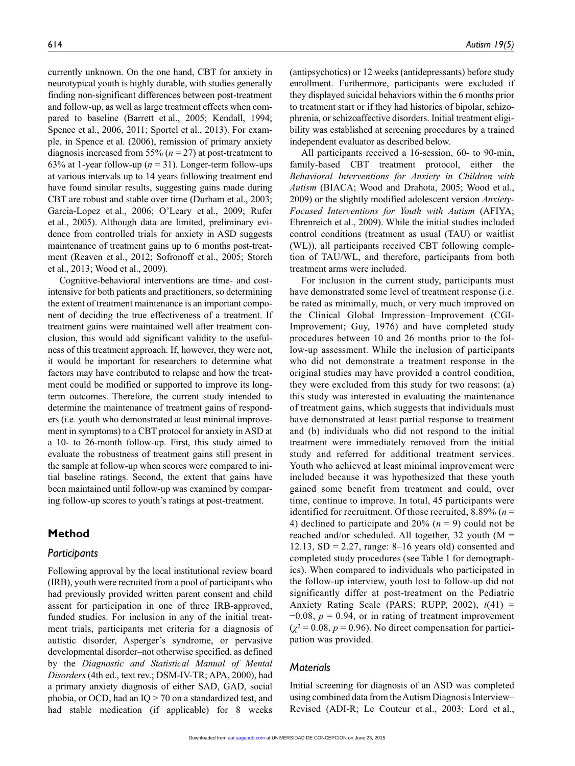currently unknown. On the one hand, CBT for anxiety in neurotypical youth is highly durable, with studies generally finding non-significant differences between post-treatment and follow-up, as well as large treatment effects when compared to baseline (Barrett et al., 2005; Kendall, 1994; Spence et al., 2006, 2011; Sportel et al., 2013). For example, in Spence et al. (2006), remission of primary anxiety diagnosis increased from 55% (*n* = 27) at post-treatment to 63% at 1-year follow-up ( $n = 31$ ). Longer-term follow-ups at various intervals up to 14 years following treatment end have found similar results, suggesting gains made during CBT are robust and stable over time (Durham et al., 2003; Garcia-Lopez et al., 2006; O'Leary et al., 2009; Rufer et al., 2005). Although data are limited, preliminary evidence from controlled trials for anxiety in ASD suggests maintenance of treatment gains up to 6 months post-treatment (Reaven et al., 2012; Sofronoff et al., 2005; Storch et al., 2013; Wood et al., 2009).

Cognitive-behavioral interventions are time- and costintensive for both patients and practitioners, so determining the extent of treatment maintenance is an important component of deciding the true effectiveness of a treatment. If treatment gains were maintained well after treatment conclusion, this would add significant validity to the usefulness of this treatment approach. If, however, they were not, it would be important for researchers to determine what factors may have contributed to relapse and how the treatment could be modified or supported to improve its longterm outcomes. Therefore, the current study intended to determine the maintenance of treatment gains of responders (i.e. youth who demonstrated at least minimal improvement in symptoms) to a CBT protocol for anxiety in ASD at a 10- to 26-month follow-up. First, this study aimed to evaluate the robustness of treatment gains still present in the sample at follow-up when scores were compared to initial baseline ratings. Second, the extent that gains have been maintained until follow-up was examined by comparing follow-up scores to youth's ratings at post-treatment.

# **Method**

#### *Participants*

Following approval by the local institutional review board (IRB), youth were recruited from a pool of participants who had previously provided written parent consent and child assent for participation in one of three IRB-approved, funded studies. For inclusion in any of the initial treatment trials, participants met criteria for a diagnosis of autistic disorder, Asperger's syndrome, or pervasive developmental disorder–not otherwise specified, as defined by the *Diagnostic and Statistical Manual of Mental Disorders* (4th ed., text rev.; DSM-IV-TR; APA, 2000), had a primary anxiety diagnosis of either SAD, GAD, social phobia, or OCD, had an  $IQ > 70$  on a standardized test, and had stable medication (if applicable) for 8 weeks

(antipsychotics) or 12 weeks (antidepressants) before study enrollment. Furthermore, participants were excluded if they displayed suicidal behaviors within the 6 months prior to treatment start or if they had histories of bipolar, schizophrenia, or schizoaffective disorders. Initial treatment eligibility was established at screening procedures by a trained independent evaluator as described below.

All participants received a 16-session, 60- to 90-min, family-based CBT treatment protocol, either the *Behavioral Interventions for Anxiety in Children with Autism* (BIACA; Wood and Drahota, 2005; Wood et al., 2009) or the slightly modified adolescent version *Anxiety-Focused Interventions for Youth with Autism* (AFIYA; Ehrenreich et al., 2009). While the initial studies included control conditions (treatment as usual (TAU) or waitlist (WL)), all participants received CBT following completion of TAU/WL, and therefore, participants from both treatment arms were included.

For inclusion in the current study, participants must have demonstrated some level of treatment response (i.e. be rated as minimally, much, or very much improved on the Clinical Global Impression–Improvement (CGI-Improvement; Guy, 1976) and have completed study procedures between 10 and 26 months prior to the follow-up assessment. While the inclusion of participants who did not demonstrate a treatment response in the original studies may have provided a control condition, they were excluded from this study for two reasons: (a) this study was interested in evaluating the maintenance of treatment gains, which suggests that individuals must have demonstrated at least partial response to treatment and (b) individuals who did not respond to the initial treatment were immediately removed from the initial study and referred for additional treatment services. Youth who achieved at least minimal improvement were included because it was hypothesized that these youth gained some benefit from treatment and could, over time, continue to improve. In total, 45 participants were identified for recruitment. Of those recruited, 8.89% (*n* = 4) declined to participate and  $20\%$  ( $n = 9$ ) could not be reached and/or scheduled. All together, 32 youth ( $M =$ 12.13,  $SD = 2.27$ , range: 8–16 years old) consented and completed study procedures (see Table 1 for demographics). When compared to individuals who participated in the follow-up interview, youth lost to follow-up did not significantly differ at post-treatment on the Pediatric Anxiety Rating Scale (PARS; RUPP, 2002), *t*(41) =  $-0.08$ ,  $p = 0.94$ , or in rating of treatment improvement  $(\chi^2 = 0.08, p = 0.96)$ . No direct compensation for participation was provided.

## *Materials*

Initial screening for diagnosis of an ASD was completed using combined data from the Autism Diagnosis Interview– Revised (ADI-R; Le Couteur et al., 2003; Lord et al.,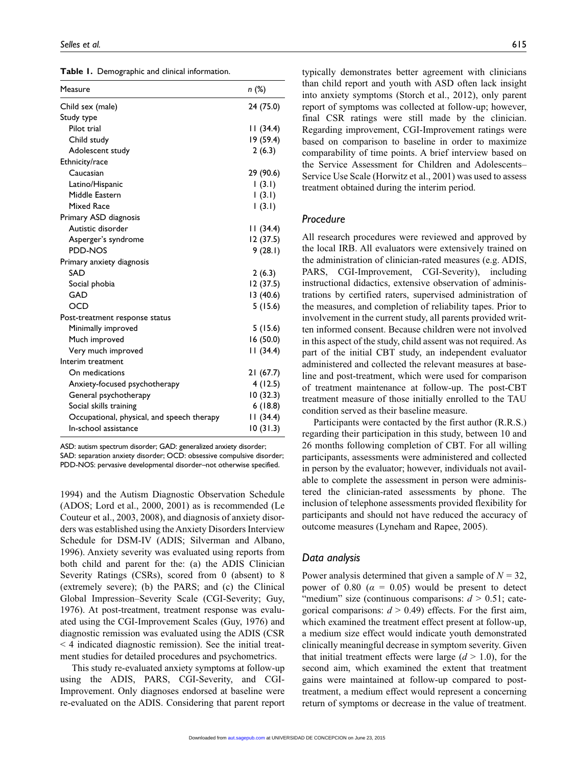|  | Table 1. Demographic and clinical information. |  |  |
|--|------------------------------------------------|--|--|
|--|------------------------------------------------|--|--|

| Measure                                    | n (%)     |
|--------------------------------------------|-----------|
| Child sex (male)                           | 24 (75.0) |
| Study type                                 |           |
| Pilot trial                                | 11(34.4)  |
| Child study                                | 19 (59.4) |
| Adolescent study                           | 2(6.3)    |
| Ethnicity/race                             |           |
| Caucasian                                  | 29 (90.6) |
| Latino/Hispanic                            | (3.1)     |
| Middle Eastern                             | (3.1)     |
| <b>Mixed Race</b>                          | (3.1)     |
| Primary ASD diagnosis                      |           |
| Autistic disorder                          | 11(34.4)  |
| Asperger's syndrome                        | 12 (37.5) |
| PDD-NOS                                    | 9(28.1)   |
| Primary anxiety diagnosis                  |           |
| SAD                                        | 2(6.3)    |
| Social phobia                              | 12 (37.5) |
| GAD                                        | 13 (40.6) |
| <b>OCD</b>                                 | 5(15.6)   |
| Post-treatment response status             |           |
| Minimally improved                         | 5 (15.6)  |
| Much improved                              | 16 (50.0) |
| Very much improved                         | 11(34.4)  |
| Interim treatment                          |           |
| On medications                             | 21(67.7)  |
| Anxiety-focused psychotherapy              | 4(12.5)   |
| General psychotherapy                      | 10(32.3)  |
| Social skills training                     | 6(18.8)   |
| Occupational, physical, and speech therapy | 11(34.4)  |
| In-school assistance                       | 10(31.3)  |
|                                            |           |

ASD: autism spectrum disorder; GAD: generalized anxiety disorder; SAD: separation anxiety disorder; OCD: obsessive compulsive disorder; PDD-NOS: pervasive developmental disorder–not otherwise specified.

1994) and the Autism Diagnostic Observation Schedule (ADOS; Lord et al., 2000, 2001) as is recommended (Le Couteur et al., 2003, 2008), and diagnosis of anxiety disorders was established using the Anxiety Disorders Interview Schedule for DSM-IV (ADIS; Silverman and Albano, 1996). Anxiety severity was evaluated using reports from both child and parent for the: (a) the ADIS Clinician Severity Ratings (CSRs), scored from 0 (absent) to 8 (extremely severe); (b) the PARS; and (c) the Clinical Global Impression–Severity Scale (CGI-Severity; Guy, 1976). At post-treatment, treatment response was evaluated using the CGI-Improvement Scales (Guy, 1976) and diagnostic remission was evaluated using the ADIS (CSR  $\leq$  4 indicated diagnostic remission). See the initial treatment studies for detailed procedures and psychometrics.

This study re-evaluated anxiety symptoms at follow-up using the ADIS, PARS, CGI-Severity, and CGI-Improvement. Only diagnoses endorsed at baseline were re-evaluated on the ADIS. Considering that parent report typically demonstrates better agreement with clinicians than child report and youth with ASD often lack insight into anxiety symptoms (Storch et al., 2012), only parent report of symptoms was collected at follow-up; however, final CSR ratings were still made by the clinician. Regarding improvement, CGI-Improvement ratings were based on comparison to baseline in order to maximize comparability of time points. A brief interview based on the Service Assessment for Children and Adolescents– Service Use Scale (Horwitz et al., 2001) was used to assess treatment obtained during the interim period.

#### *Procedure*

All research procedures were reviewed and approved by the local IRB. All evaluators were extensively trained on the administration of clinician-rated measures (e.g. ADIS, PARS, CGI-Improvement, CGI-Severity), including instructional didactics, extensive observation of administrations by certified raters, supervised administration of the measures, and completion of reliability tapes. Prior to involvement in the current study, all parents provided written informed consent. Because children were not involved in this aspect of the study, child assent was not required. As part of the initial CBT study, an independent evaluator administered and collected the relevant measures at baseline and post-treatment, which were used for comparison of treatment maintenance at follow-up. The post-CBT treatment measure of those initially enrolled to the TAU condition served as their baseline measure.

Participants were contacted by the first author (R.R.S.) regarding their participation in this study, between 10 and 26 months following completion of CBT. For all willing participants, assessments were administered and collected in person by the evaluator; however, individuals not available to complete the assessment in person were administered the clinician-rated assessments by phone. The inclusion of telephone assessments provided flexibility for participants and should not have reduced the accuracy of outcome measures (Lyneham and Rapee, 2005).

#### *Data analysis*

Power analysis determined that given a sample of  $N = 32$ , power of 0.80 ( $\alpha$  = 0.05) would be present to detect "medium" size (continuous comparisons:  $d > 0.51$ ; categorical comparisons:  $d > 0.49$ ) effects. For the first aim, which examined the treatment effect present at follow-up, a medium size effect would indicate youth demonstrated clinically meaningful decrease in symptom severity. Given that initial treatment effects were large  $(d > 1.0)$ , for the second aim, which examined the extent that treatment gains were maintained at follow-up compared to posttreatment, a medium effect would represent a concerning return of symptoms or decrease in the value of treatment.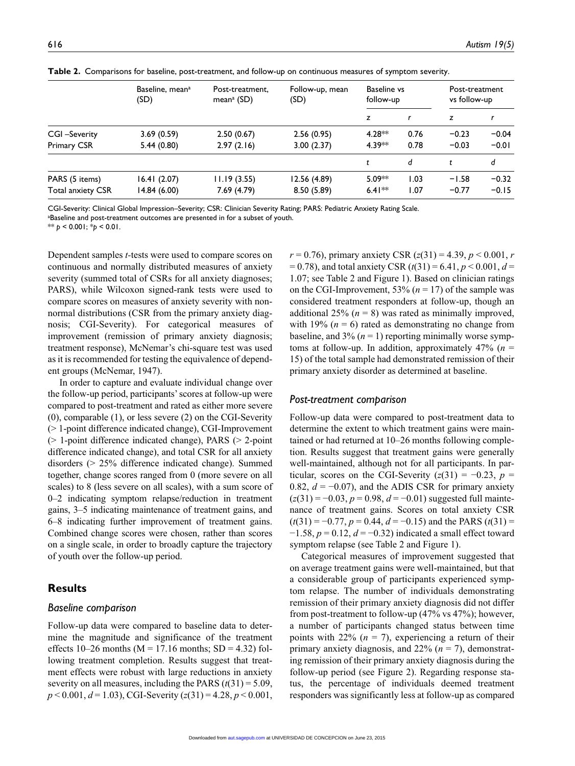|                    | Baseline, mean <sup>a</sup><br>(SD) | Post-treatment.<br>mean <sup>a</sup> (SD) | Follow-up, mean<br>(SD) | Baseline vs<br>follow-up |      | Post-treatment<br>vs follow-up |         |
|--------------------|-------------------------------------|-------------------------------------------|-------------------------|--------------------------|------|--------------------------------|---------|
|                    |                                     |                                           |                         | z                        |      | z                              |         |
| CGI-Severity       | 3.69(0.59)                          | 2.50(0.67)                                | 2.56(0.95)              | $4.28**$                 | 0.76 | $-0.23$                        | $-0.04$ |
| <b>Primary CSR</b> | 5.44 (0.80)                         | 2.97(2.16)                                | 3.00(2.37)              | 4.39**                   | 0.78 | $-0.03$                        | $-0.01$ |
|                    |                                     |                                           |                         |                          | d    |                                | d       |
| PARS (5 items)     | 16.41(2.07)                         | 11.19(3.55)                               | 12.56 (4.89)            | $5.09**$                 | 1.03 | $-1.58$                        | $-0.32$ |
| Total anxiety CSR  | 14.84(6.00)                         | 7.69(4.79)                                | 8.50(5.89)              | $6.41**$                 | 1.07 | $-0.77$                        | $-0.15$ |

**Table 2.** Comparisons for baseline, post-treatment, and follow-up on continuous measures of symptom severity.

CGI-Severity: Clinical Global Impression–Severity; CSR: Clinician Severity Rating; PARS: Pediatric Anxiety Rating Scale.

a Baseline and post-treatment outcomes are presented in for a subset of youth.

\*\* *p* < 0.001; \**p* < 0.01.

Dependent samples *t-*tests were used to compare scores on continuous and normally distributed measures of anxiety severity (summed total of CSRs for all anxiety diagnoses; PARS), while Wilcoxon signed-rank tests were used to compare scores on measures of anxiety severity with nonnormal distributions (CSR from the primary anxiety diagnosis; CGI-Severity). For categorical measures of improvement (remission of primary anxiety diagnosis; treatment response), McNemar's chi-square test was used as it is recommended for testing the equivalence of dependent groups (McNemar, 1947).

In order to capture and evaluate individual change over the follow-up period, participants' scores at follow-up were compared to post-treatment and rated as either more severe (0), comparable (1), or less severe (2) on the CGI-Severity (> 1-point difference indicated change), CGI-Improvement  $(> 1$ -point difference indicated change), PARS  $(> 2$ -point difference indicated change), and total CSR for all anxiety disorders (> 25% difference indicated change). Summed together, change scores ranged from 0 (more severe on all scales) to 8 (less severe on all scales), with a sum score of 0–2 indicating symptom relapse/reduction in treatment gains, 3–5 indicating maintenance of treatment gains, and 6–8 indicating further improvement of treatment gains. Combined change scores were chosen, rather than scores on a single scale, in order to broadly capture the trajectory of youth over the follow-up period.

# **Results**

#### *Baseline comparison*

Follow-up data were compared to baseline data to determine the magnitude and significance of the treatment effects 10–26 months ( $M = 17.16$  months; SD = 4.32) following treatment completion. Results suggest that treatment effects were robust with large reductions in anxiety severity on all measures, including the PARS  $(t(31) = 5.09$ , *p* < 0.001, *d* = 1.03), CGI-Severity (*z*(31) = 4.28, *p* < 0.001,

*r* = 0.76), primary anxiety CSR (*z*(31) = 4.39, *p* < 0.001, *r*  $= 0.78$ ), and total anxiety CSR ( $t(31) = 6.41$ ,  $p < 0.001$ ,  $d =$ 1.07; see Table 2 and Figure 1). Based on clinician ratings on the CGI-Improvement,  $53\%$  ( $n = 17$ ) of the sample was considered treatment responders at follow-up, though an additional 25%  $(n = 8)$  was rated as minimally improved, with 19% ( $n = 6$ ) rated as demonstrating no change from baseline, and  $3\%$  ( $n = 1$ ) reporting minimally worse symptoms at follow-up. In addition, approximately  $47\%$  ( $n =$ 15) of the total sample had demonstrated remission of their primary anxiety disorder as determined at baseline.

#### *Post-treatment comparison*

Follow-up data were compared to post-treatment data to determine the extent to which treatment gains were maintained or had returned at 10–26 months following completion. Results suggest that treatment gains were generally well-maintained, although not for all participants. In particular, scores on the CGI-Severity  $(z(31) = -0.23, p =$ 0.82,  $d = -0.07$ ), and the ADIS CSR for primary anxiety (*z*(31) = −0.03, *p* = 0.98, *d* = −0.01) suggested full maintenance of treatment gains. Scores on total anxiety CSR  $(t(31) = -0.77, p = 0.44, d = -0.15)$  and the PARS  $(t(31) =$ −1.58, *p* = 0.12, *d* = −0.32) indicated a small effect toward symptom relapse (see Table 2 and Figure 1).

Categorical measures of improvement suggested that on average treatment gains were well-maintained, but that a considerable group of participants experienced symptom relapse. The number of individuals demonstrating remission of their primary anxiety diagnosis did not differ from post-treatment to follow-up (47% vs 47%); however, a number of participants changed status between time points with  $22\%$  ( $n = 7$ ), experiencing a return of their primary anxiety diagnosis, and 22% (*n* = 7), demonstrating remission of their primary anxiety diagnosis during the follow-up period (see Figure 2). Regarding response status, the percentage of individuals deemed treatment responders was significantly less at follow-up as compared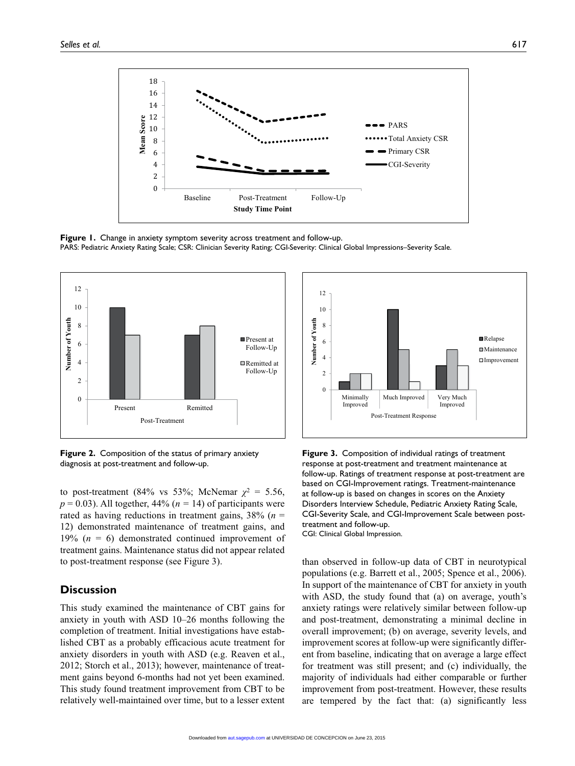

**Figure 1.** Change in anxiety symptom severity across treatment and follow-up. PARS: Pediatric Anxiety Rating Scale; CSR: Clinician Severity Rating; CGI*-*Severity: Clinical Global Impressions–Severity Scale.



**Figure 2.** Composition of the status of primary anxiety diagnosis at post-treatment and follow-up.

to post-treatment (84% vs 53%; McNemar  $\chi^2 = 5.56$ ,  $p = 0.03$ ). All together, 44% ( $n = 14$ ) of participants were rated as having reductions in treatment gains, 38% (*n* = 12) demonstrated maintenance of treatment gains, and 19% (*n* = 6) demonstrated continued improvement of treatment gains. Maintenance status did not appear related to post-treatment response (see Figure 3).

# **Discussion**

This study examined the maintenance of CBT gains for anxiety in youth with ASD 10–26 months following the completion of treatment. Initial investigations have established CBT as a probably efficacious acute treatment for anxiety disorders in youth with ASD (e.g. Reaven et al., 2012; Storch et al., 2013); however, maintenance of treatment gains beyond 6-months had not yet been examined. This study found treatment improvement from CBT to be relatively well-maintained over time, but to a lesser extent



**Figure 3.** Composition of individual ratings of treatment response at post-treatment and treatment maintenance at follow-up. Ratings of treatment response at post-treatment are based on CGI-Improvement ratings. Treatment-maintenance at follow-up is based on changes in scores on the Anxiety Disorders Interview Schedule, Pediatric Anxiety Rating Scale, CGI-Severity Scale, and CGI-Improvement Scale between posttreatment and follow-up. CGI: Clinical Global Impression.

than observed in follow-up data of CBT in neurotypical populations (e.g. Barrett et al., 2005; Spence et al., 2006). In support of the maintenance of CBT for anxiety in youth with ASD, the study found that (a) on average, youth's anxiety ratings were relatively similar between follow-up and post-treatment, demonstrating a minimal decline in overall improvement; (b) on average, severity levels, and improvement scores at follow-up were significantly different from baseline, indicating that on average a large effect for treatment was still present; and (c) individually, the majority of individuals had either comparable or further improvement from post-treatment. However, these results are tempered by the fact that: (a) significantly less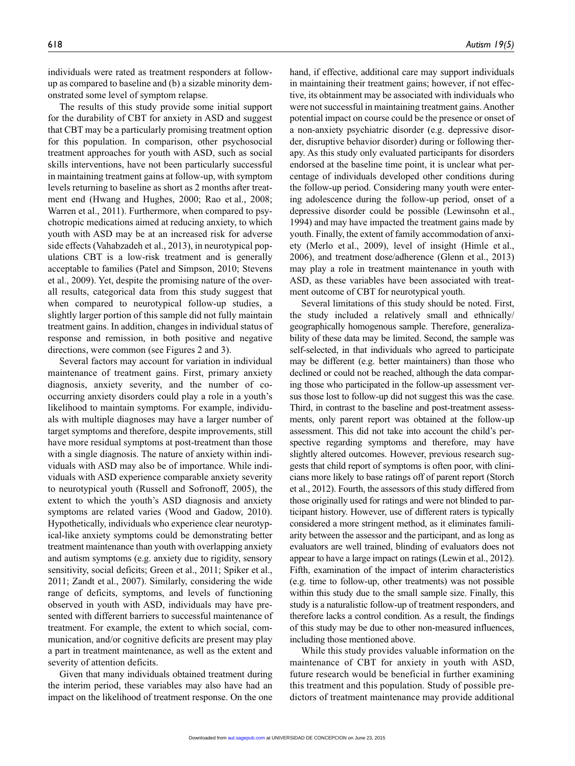individuals were rated as treatment responders at followup as compared to baseline and (b) a sizable minority demonstrated some level of symptom relapse.

The results of this study provide some initial support for the durability of CBT for anxiety in ASD and suggest that CBT may be a particularly promising treatment option for this population. In comparison, other psychosocial treatment approaches for youth with ASD, such as social skills interventions, have not been particularly successful in maintaining treatment gains at follow-up, with symptom levels returning to baseline as short as 2 months after treatment end (Hwang and Hughes, 2000; Rao et al., 2008; Warren et al., 2011). Furthermore, when compared to psychotropic medications aimed at reducing anxiety, to which youth with ASD may be at an increased risk for adverse side effects (Vahabzadeh et al., 2013), in neurotypical populations CBT is a low-risk treatment and is generally acceptable to families (Patel and Simpson, 2010; Stevens et al., 2009). Yet, despite the promising nature of the overall results, categorical data from this study suggest that when compared to neurotypical follow-up studies, a slightly larger portion of this sample did not fully maintain treatment gains. In addition, changes in individual status of response and remission, in both positive and negative directions, were common (see Figures 2 and 3).

Several factors may account for variation in individual maintenance of treatment gains. First, primary anxiety diagnosis, anxiety severity, and the number of cooccurring anxiety disorders could play a role in a youth's likelihood to maintain symptoms. For example, individuals with multiple diagnoses may have a larger number of target symptoms and therefore, despite improvements, still have more residual symptoms at post-treatment than those with a single diagnosis. The nature of anxiety within individuals with ASD may also be of importance. While individuals with ASD experience comparable anxiety severity to neurotypical youth (Russell and Sofronoff, 2005), the extent to which the youth's ASD diagnosis and anxiety symptoms are related varies (Wood and Gadow, 2010). Hypothetically, individuals who experience clear neurotypical-like anxiety symptoms could be demonstrating better treatment maintenance than youth with overlapping anxiety and autism symptoms (e.g. anxiety due to rigidity, sensory sensitivity, social deficits; Green et al., 2011; Spiker et al., 2011; Zandt et al., 2007). Similarly, considering the wide range of deficits, symptoms, and levels of functioning observed in youth with ASD, individuals may have presented with different barriers to successful maintenance of treatment. For example, the extent to which social, communication, and/or cognitive deficits are present may play a part in treatment maintenance, as well as the extent and severity of attention deficits.

Given that many individuals obtained treatment during the interim period, these variables may also have had an impact on the likelihood of treatment response. On the one hand, if effective, additional care may support individuals in maintaining their treatment gains; however, if not effective, its obtainment may be associated with individuals who were not successful in maintaining treatment gains. Another potential impact on course could be the presence or onset of a non-anxiety psychiatric disorder (e.g. depressive disorder, disruptive behavior disorder) during or following therapy. As this study only evaluated participants for disorders endorsed at the baseline time point, it is unclear what percentage of individuals developed other conditions during the follow-up period. Considering many youth were entering adolescence during the follow-up period, onset of a depressive disorder could be possible (Lewinsohn et al., 1994) and may have impacted the treatment gains made by youth. Finally, the extent of family accommodation of anxiety (Merlo et al., 2009), level of insight (Himle et al., 2006), and treatment dose/adherence (Glenn et al., 2013) may play a role in treatment maintenance in youth with ASD, as these variables have been associated with treatment outcome of CBT for neurotypical youth.

Several limitations of this study should be noted. First, the study included a relatively small and ethnically/ geographically homogenous sample. Therefore, generalizability of these data may be limited. Second, the sample was self-selected, in that individuals who agreed to participate may be different (e.g. better maintainers) than those who declined or could not be reached, although the data comparing those who participated in the follow-up assessment versus those lost to follow-up did not suggest this was the case. Third, in contrast to the baseline and post-treatment assessments, only parent report was obtained at the follow-up assessment. This did not take into account the child's perspective regarding symptoms and therefore, may have slightly altered outcomes. However, previous research suggests that child report of symptoms is often poor, with clinicians more likely to base ratings off of parent report (Storch et al., 2012). Fourth, the assessors of this study differed from those originally used for ratings and were not blinded to participant history. However, use of different raters is typically considered a more stringent method, as it eliminates familiarity between the assessor and the participant, and as long as evaluators are well trained, blinding of evaluators does not appear to have a large impact on ratings (Lewin et al., 2012). Fifth, examination of the impact of interim characteristics (e.g. time to follow-up, other treatments) was not possible within this study due to the small sample size. Finally, this study is a naturalistic follow-up of treatment responders, and therefore lacks a control condition. As a result, the findings of this study may be due to other non-measured influences, including those mentioned above.

While this study provides valuable information on the maintenance of CBT for anxiety in youth with ASD, future research would be beneficial in further examining this treatment and this population. Study of possible predictors of treatment maintenance may provide additional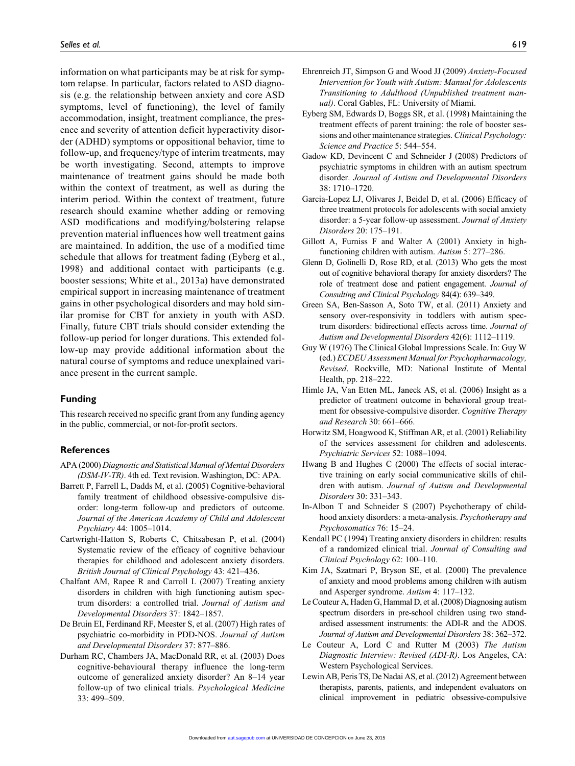information on what participants may be at risk for symptom relapse. In particular, factors related to ASD diagnosis (e.g. the relationship between anxiety and core ASD symptoms, level of functioning), the level of family accommodation, insight, treatment compliance, the presence and severity of attention deficit hyperactivity disorder (ADHD) symptoms or oppositional behavior, time to follow-up, and frequency/type of interim treatments, may be worth investigating. Second, attempts to improve maintenance of treatment gains should be made both within the context of treatment, as well as during the interim period. Within the context of treatment, future research should examine whether adding or removing ASD modifications and modifying/bolstering relapse prevention material influences how well treatment gains are maintained. In addition, the use of a modified time schedule that allows for treatment fading (Eyberg et al., 1998) and additional contact with participants (e.g. booster sessions; White et al., 2013a) have demonstrated empirical support in increasing maintenance of treatment gains in other psychological disorders and may hold similar promise for CBT for anxiety in youth with ASD. Finally, future CBT trials should consider extending the follow-up period for longer durations. This extended follow-up may provide additional information about the natural course of symptoms and reduce unexplained variance present in the current sample.

#### **Funding**

This research received no specific grant from any funding agency in the public, commercial, or not-for-profit sectors.

#### **References**

- APA (2000) *Diagnostic and Statistical Manual of Mental Disorders (DSM-IV-TR)*. 4th ed. Text revision. Washington, DC: APA.
- Barrett P, Farrell L, Dadds M, et al. (2005) Cognitive-behavioral family treatment of childhood obsessive-compulsive disorder: long-term follow-up and predictors of outcome. *Journal of the American Academy of Child and Adolescent Psychiatry* 44: 1005–1014.
- Cartwright-Hatton S, Roberts C, Chitsabesan P, et al. (2004) Systematic review of the efficacy of cognitive behaviour therapies for childhood and adolescent anxiety disorders. *British Journal of Clinical Psychology* 43: 421–436.
- Chalfant AM, Rapee R and Carroll L (2007) Treating anxiety disorders in children with high functioning autism spectrum disorders: a controlled trial. *Journal of Autism and Developmental Disorders* 37: 1842–1857.
- De Bruin EI, Ferdinand RF, Meester S, et al. (2007) High rates of psychiatric co-morbidity in PDD-NOS. *Journal of Autism and Developmental Disorders* 37: 877–886.
- Durham RC, Chambers JA, MacDonald RR, et al. (2003) Does cognitive-behavioural therapy influence the long-term outcome of generalized anxiety disorder? An 8–14 year follow-up of two clinical trials. *Psychological Medicine* 33: 499–509.
- Ehrenreich JT, Simpson G and Wood JJ (2009) *Anxiety-Focused Intervention for Youth with Autism: Manual for Adolescents Transitioning to Adulthood (Unpublished treatment manual)*. Coral Gables, FL: University of Miami.
- Eyberg SM, Edwards D, Boggs SR, et al. (1998) Maintaining the treatment effects of parent training: the role of booster sessions and other maintenance strategies. *Clinical Psychology: Science and Practice* 5: 544–554.
- Gadow KD, Devincent C and Schneider J (2008) Predictors of psychiatric symptoms in children with an autism spectrum disorder. *Journal of Autism and Developmental Disorders* 38: 1710–1720.
- Garcia-Lopez LJ, Olivares J, Beidel D, et al. (2006) Efficacy of three treatment protocols for adolescents with social anxiety disorder: a 5-year follow-up assessment. *Journal of Anxiety Disorders* 20: 175–191.
- Gillott A, Furniss F and Walter A (2001) Anxiety in highfunctioning children with autism. *Autism* 5: 277–286.
- Glenn D, Golinelli D, Rose RD, et al. (2013) Who gets the most out of cognitive behavioral therapy for anxiety disorders? The role of treatment dose and patient engagement. *Journal of Consulting and Clinical Psychology* 84(4): 639–349.
- Green SA, Ben-Sasson A, Soto TW, et al. (2011) Anxiety and sensory over-responsivity in toddlers with autism spectrum disorders: bidirectional effects across time. *Journal of Autism and Developmental Disorders* 42(6): 1112–1119.
- Guy W (1976) The Clinical Global Impressions Scale. In: Guy W (ed.) *ECDEU Assessment Manual for Psychopharmacology, Revised*. Rockville, MD: National Institute of Mental Health, pp. 218–222.
- Himle JA, Van Etten ML, Janeck AS, et al. (2006) Insight as a predictor of treatment outcome in behavioral group treatment for obsessive-compulsive disorder. *Cognitive Therapy and Research* 30: 661–666.
- Horwitz SM, Hoagwood K, Stiffman AR, et al. (2001) Reliability of the services assessment for children and adolescents. *Psychiatric Services* 52: 1088–1094.
- Hwang B and Hughes C (2000) The effects of social interactive training on early social communicative skills of children with autism. *Journal of Autism and Developmental Disorders* 30: 331–343.
- In-Albon T and Schneider S (2007) Psychotherapy of childhood anxiety disorders: a meta-analysis. *Psychotherapy and Psychosomatics* 76: 15–24.
- Kendall PC (1994) Treating anxiety disorders in children: results of a randomized clinical trial. *Journal of Consulting and Clinical Psychology* 62: 100–110.
- Kim JA, Szatmari P, Bryson SE, et al. (2000) The prevalence of anxiety and mood problems among children with autism and Asperger syndrome. *Autism* 4: 117–132.
- Le Couteur A, Haden G, Hammal D, et al. (2008) Diagnosing autism spectrum disorders in pre-school children using two standardised assessment instruments: the ADI-R and the ADOS. *Journal of Autism and Developmental Disorders* 38: 362–372.
- Le Couteur A, Lord C and Rutter M (2003) *The Autism Diagnostic Interview: Revised (ADI-R)*. Los Angeles, CA: Western Psychological Services.
- Lewin AB, Peris TS, De Nadai AS, et al. (2012) Agreement between therapists, parents, patients, and independent evaluators on clinical improvement in pediatric obsessive-compulsive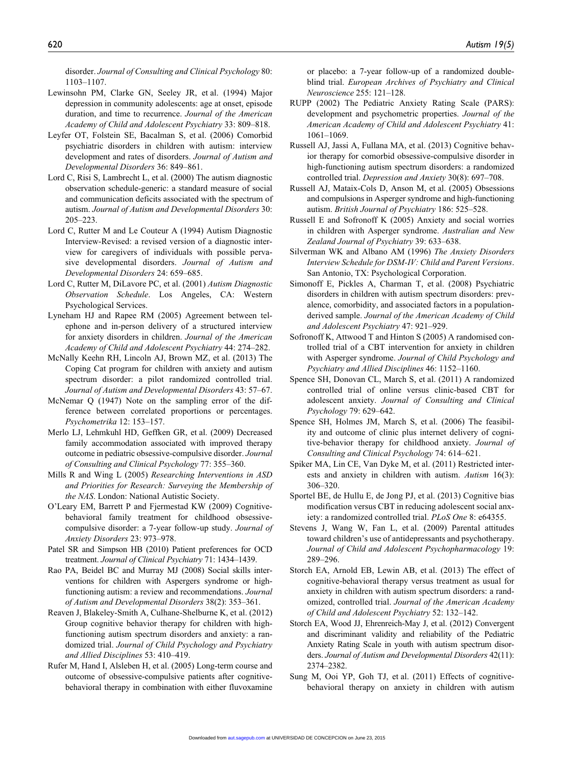disorder. *Journal of Consulting and Clinical Psychology* 80: 1103–1107.

- Lewinsohn PM, Clarke GN, Seeley JR, et al. (1994) Major depression in community adolescents: age at onset, episode duration, and time to recurrence. *Journal of the American Academy of Child and Adolescent Psychiatry* 33: 809–818.
- Leyfer OT, Folstein SE, Bacalman S, et al. (2006) Comorbid psychiatric disorders in children with autism: interview development and rates of disorders. *Journal of Autism and Developmental Disorders* 36: 849–861.
- Lord C, Risi S, Lambrecht L, et al. (2000) The autism diagnostic observation schedule-generic: a standard measure of social and communication deficits associated with the spectrum of autism. *Journal of Autism and Developmental Disorders* 30: 205–223.
- Lord C, Rutter M and Le Couteur A (1994) Autism Diagnostic Interview-Revised: a revised version of a diagnostic interview for caregivers of individuals with possible pervasive developmental disorders. *Journal of Autism and Developmental Disorders* 24: 659–685.
- Lord C, Rutter M, DiLavore PC, et al. (2001) *Autism Diagnostic Observation Schedule*. Los Angeles, CA: Western Psychological Services.
- Lyneham HJ and Rapee RM (2005) Agreement between telephone and in-person delivery of a structured interview for anxiety disorders in children. *Journal of the American Academy of Child and Adolescent Psychiatry* 44: 274–282.
- McNally Keehn RH, Lincoln AJ, Brown MZ, et al. (2013) The Coping Cat program for children with anxiety and autism spectrum disorder: a pilot randomized controlled trial. *Journal of Autism and Developmental Disorders* 43: 57–67.
- McNemar Q (1947) Note on the sampling error of the difference between correlated proportions or percentages. *Psychometrika* 12: 153–157.
- Merlo LJ, Lehmkuhl HD, Geffken GR, et al. (2009) Decreased family accommodation associated with improved therapy outcome in pediatric obsessive-compulsive disorder. *Journal of Consulting and Clinical Psychology* 77: 355–360.
- Mills R and Wing L (2005) *Researching Interventions in ASD and Priorities for Research: Surveying the Membership of the NAS*. London: National Autistic Society.
- O'Leary EM, Barrett P and Fjermestad KW (2009) Cognitivebehavioral family treatment for childhood obsessivecompulsive disorder: a 7-year follow-up study. *Journal of Anxiety Disorders* 23: 973–978.
- Patel SR and Simpson HB (2010) Patient preferences for OCD treatment. *Journal of Clinical Psychiatry* 71: 1434–1439.
- Rao PA, Beidel BC and Murray MJ (2008) Social skills interventions for children with Aspergers syndrome or highfunctioning autism: a review and recommendations. *Journal of Autism and Developmental Disorders* 38(2): 353–361.
- Reaven J, Blakeley-Smith A, Culhane-Shelburne K, et al. (2012) Group cognitive behavior therapy for children with highfunctioning autism spectrum disorders and anxiety: a randomized trial. *Journal of Child Psychology and Psychiatry and Allied Disciplines* 53: 410–419.
- Rufer M, Hand I, Alsleben H, et al. (2005) Long-term course and outcome of obsessive-compulsive patients after cognitivebehavioral therapy in combination with either fluvoxamine

or placebo: a 7-year follow-up of a randomized doubleblind trial. *European Archives of Psychiatry and Clinical Neuroscience* 255: 121–128.

- RUPP (2002) The Pediatric Anxiety Rating Scale (PARS): development and psychometric properties. *Journal of the American Academy of Child and Adolescent Psychiatry* 41: 1061–1069.
- Russell AJ, Jassi A, Fullana MA, et al. (2013) Cognitive behavior therapy for comorbid obsessive-compulsive disorder in high-functioning autism spectrum disorders: a randomized controlled trial. *Depression and Anxiety* 30(8): 697–708.
- Russell AJ, Mataix-Cols D, Anson M, et al. (2005) Obsessions and compulsions in Asperger syndrome and high-functioning autism. *British Journal of Psychiatry* 186: 525–528.
- Russell E and Sofronoff K (2005) Anxiety and social worries in children with Asperger syndrome. *Australian and New Zealand Journal of Psychiatry* 39: 633–638.
- Silverman WK and Albano AM (1996) *The Anxiety Disorders Interview Schedule for DSM-IV: Child and Parent Versions*. San Antonio, TX: Psychological Corporation.
- Simonoff E, Pickles A, Charman T, et al. (2008) Psychiatric disorders in children with autism spectrum disorders: prevalence, comorbidity, and associated factors in a populationderived sample. *Journal of the American Academy of Child and Adolescent Psychiatry* 47: 921–929.
- Sofronoff K, Attwood T and Hinton S (2005) A randomised controlled trial of a CBT intervention for anxiety in children with Asperger syndrome. *Journal of Child Psychology and Psychiatry and Allied Disciplines* 46: 1152–1160.
- Spence SH, Donovan CL, March S, et al. (2011) A randomized controlled trial of online versus clinic-based CBT for adolescent anxiety. *Journal of Consulting and Clinical Psychology* 79: 629–642.
- Spence SH, Holmes JM, March S, et al. (2006) The feasibility and outcome of clinic plus internet delivery of cognitive-behavior therapy for childhood anxiety. *Journal of Consulting and Clinical Psychology* 74: 614–621.
- Spiker MA, Lin CE, Van Dyke M, et al. (2011) Restricted interests and anxiety in children with autism. *Autism* 16(3): 306–320.
- Sportel BE, de Hullu E, de Jong PJ, et al. (2013) Cognitive bias modification versus CBT in reducing adolescent social anxiety: a randomized controlled trial. *PLoS One* 8: e64355.
- Stevens J, Wang W, Fan L, et al. (2009) Parental attitudes toward children's use of antidepressants and psychotherapy. *Journal of Child and Adolescent Psychopharmacology* 19: 289–296.
- Storch EA, Arnold EB, Lewin AB, et al. (2013) The effect of cognitive-behavioral therapy versus treatment as usual for anxiety in children with autism spectrum disorders: a randomized, controlled trial. *Journal of the American Academy of Child and Adolescent Psychiatry* 52: 132–142.
- Storch EA, Wood JJ, Ehrenreich-May J, et al. (2012) Convergent and discriminant validity and reliability of the Pediatric Anxiety Rating Scale in youth with autism spectrum disorders. *Journal of Autism and Developmental Disorders* 42(11): 2374–2382.
- Sung M, Ooi YP, Goh TJ, et al. (2011) Effects of cognitivebehavioral therapy on anxiety in children with autism